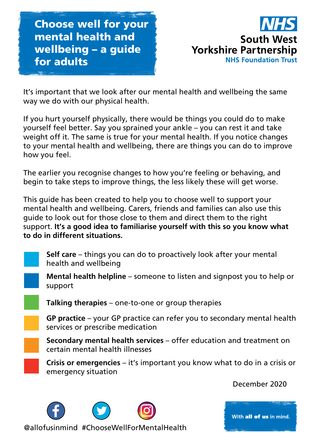Choose well for your mental health and wellbeing – a guide for adults



It's important that we look after our mental health and wellbeing the same way we do with our physical health.

If you hurt yourself physically, there would be things you could do to make yourself feel better. Say you sprained your ankle – you can rest it and take weight off it. The same is true for your mental health. If you notice changes to your mental health and wellbeing, there are things you can do to improve how you feel.

The earlier you recognise changes to how you're feeling or behaving, and begin to take steps to improve things, the less likely these will get worse.

This guide has been created to help you to choose well to support your mental health and wellbeing. Carers, friends and families can also use this guide to look out for those close to them and direct them to the right support. **It's a good idea to familiarise yourself with this so you know what to do in different situations.**



**Self care** – things you can do to proactively look after your mental health and wellbeing



**Mental health helpline** – someone to listen and signpost you to help or support



**Talking therapies** – one-to-one or group therapies

**GP practice** – your GP practice can refer you to secondary mental health services or prescribe medication

**Secondary mental health services** – offer education and treatment on certain mental health illnesses

**Crisis or emergencies** – it's important you know what to do in a crisis or emergency situation

December 2020



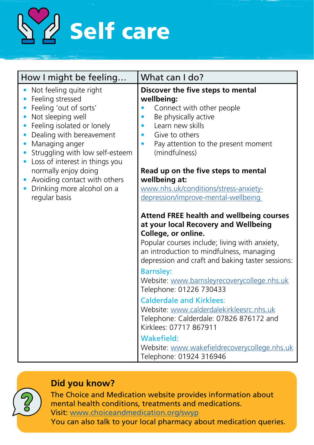

| How I might be feeling                                                                                                                                                                                                                                                                                                                                                                 | What can I do?                                                                                                                                                                                                                                                                                                                                                                                                                                                                                                                                                                                             |
|----------------------------------------------------------------------------------------------------------------------------------------------------------------------------------------------------------------------------------------------------------------------------------------------------------------------------------------------------------------------------------------|------------------------------------------------------------------------------------------------------------------------------------------------------------------------------------------------------------------------------------------------------------------------------------------------------------------------------------------------------------------------------------------------------------------------------------------------------------------------------------------------------------------------------------------------------------------------------------------------------------|
| Not feeling quite right<br>Feeling stressed<br>Feeling 'out of sorts'<br>Not sleeping well<br>Feeling isolated or lonely<br>۰<br>Dealing with bereavement<br>Managing anger<br>$\bullet$<br>Struggling with low self-esteem<br>Loss of interest in things you<br>normally enjoy doing<br>Avoiding contact with others<br>$\bullet$<br>Drinking more alcohol on a<br>۰<br>regular basis | Discover the five steps to mental<br>wellbeing:<br>Connect with other people<br>$\bullet$<br>Be physically active<br>$\bullet$<br>Learn new skills<br>Give to others<br>$\bullet$<br>Pay attention to the present moment<br>(mindfulness)<br>Read up on the five steps to mental<br>wellbeing at:<br>www.nhs.uk/conditions/stress-anxiety-<br>depression/improve-mental-wellbeing                                                                                                                                                                                                                          |
|                                                                                                                                                                                                                                                                                                                                                                                        | <b>Attend FREE health and wellbeing courses</b><br>at your local Recovery and Wellbeing<br>College, or online.<br>Popular courses include; living with anxiety,<br>an introduction to mindfulness, managing<br>depression and craft and baking taster sessions:<br><b>Barnsley:</b><br>Website: www.barnsleyrecoverycollege.nhs.uk<br>Telephone: 01226 730433<br><b>Calderdale and Kirklees:</b><br>Website: www.calderdalekirkleesrc.nhs.uk<br>Telephone: Calderdale: 07826 876172 and<br>Kirklees: 07717 867911<br>Wakefield:<br>Website: www.wakefieldrecoverycollege.nhs.uk<br>Telephone: 01924 316946 |

#### **Did you know?**



The Choice and Medication website provides information about mental health conditions, treatments and medications. Visit: [www.choiceandmedication.org/swyp](https://www.choiceandmedication.org/swyp)

You can also talk to your local pharmacy about medication queries.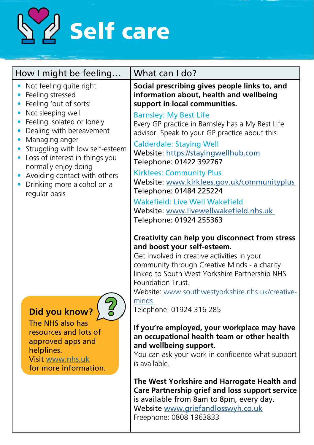

| How I might be feeling                                                                                                                                                                                                 | What can I do?                                                                                                                                                                                                                                                                                                                               |
|------------------------------------------------------------------------------------------------------------------------------------------------------------------------------------------------------------------------|----------------------------------------------------------------------------------------------------------------------------------------------------------------------------------------------------------------------------------------------------------------------------------------------------------------------------------------------|
| Not feeling quite right<br>Feeling stressed<br>$\bullet$<br>Feeling 'out of sorts'<br>$\bullet$                                                                                                                        | Social prescribing gives people links to, and<br>information about, health and wellbeing<br>support in local communities.                                                                                                                                                                                                                    |
| Not sleeping well<br>Feeling isolated or lonely<br>$\bullet$<br>Dealing with bereavement<br>Managing anger<br>$\bullet$<br>Struggling with low self-esteem<br>$\bullet$<br>Loss of interest in things you<br>$\bullet$ | <b>Barnsley: My Best Life</b><br>Every GP practice in Barnsley has a My Best Life<br>advisor. Speak to your GP practice about this.<br><b>Calderdale: Staying Well</b><br>Website: https://stayingwellhub.com                                                                                                                                |
| normally enjoy doing<br>Avoiding contact with others<br>$\bullet$<br>Drinking more alcohol on a<br>$\bullet$<br>regular basis                                                                                          | Telephone: 01422 392767<br><b>Kirklees: Community Plus</b><br>Website: www.kirklees.gov.uk/communityplus<br>Telephone: 01484 225224                                                                                                                                                                                                          |
|                                                                                                                                                                                                                        | <b>Wakefield: Live Well Wakefield</b><br>Website: www.livewellwakefield.nhs.uk<br>Telephone: 01924 255363                                                                                                                                                                                                                                    |
| $\frac{2}{5}$<br>Did you know?                                                                                                                                                                                         | Creativity can help you disconnect from stress<br>and boost your self-esteem.<br>Get involved in creative activities in your<br>community through Creative Minds - a charity<br>linked to South West Yorkshire Partnership NHS<br>Foundation Trust.<br>Website: www.southwestyorkshire.nhs.uk/creative-<br>minds<br>Telephone: 01924 316 285 |
| The NHS also has<br>resources and lots of<br>approved apps and<br>helplines.<br>Visit www.nhs.uk<br>for more information.                                                                                              | If you're employed, your workplace may have<br>an occupational health team or other health<br>and wellbeing support.<br>You can ask your work in confidence what support<br>is available.                                                                                                                                                    |
|                                                                                                                                                                                                                        | The West Yorkshire and Harrogate Health and<br>Care Partnership grief and loss support service<br>is available from 8am to 8pm, every day.<br>Website www.griefandlosswyh.co.uk                                                                                                                                                              |

Freephone: 0808 1963833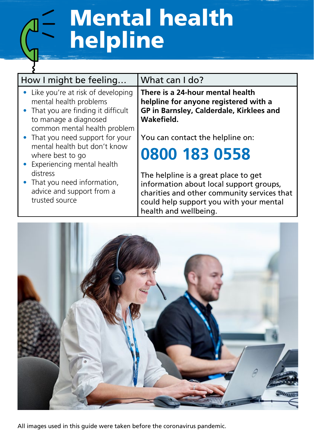# Mental health helpline

| How I might be feeling                                                                                                                                                                                                                                                              | What can I do?                                                                                                                                                                                     |
|-------------------------------------------------------------------------------------------------------------------------------------------------------------------------------------------------------------------------------------------------------------------------------------|----------------------------------------------------------------------------------------------------------------------------------------------------------------------------------------------------|
| • Like you're at risk of developing<br>mental health problems<br>• That you are finding it difficult<br>to manage a diagnosed<br>common mental health problem<br>• That you need support for your<br>mental health but don't know<br>where best to go<br>Experiencing mental health | There is a 24-hour mental health<br>helpline for anyone registered with a<br>GP in Barnsley, Calderdale, Kirklees and<br>Wakefield.<br>You can contact the helpline on:<br>0800 183 0558           |
| distress<br>• That you need information,<br>advice and support from a<br>trusted source                                                                                                                                                                                             | The helpline is a great place to get<br>information about local support groups,<br>charities and other community services that<br>could help support you with your mental<br>health and wellbeing. |



All images used in this guide were taken before the coronavirus pandemic.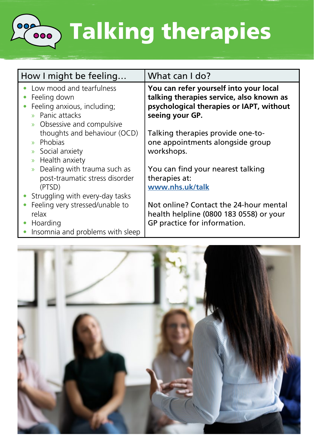

**Soon Talking therapies** 

| How I might be feeling                                                                                                                  | What can I do?                                                                                                                                    |
|-----------------------------------------------------------------------------------------------------------------------------------------|---------------------------------------------------------------------------------------------------------------------------------------------------|
| Low mood and tearfulness<br>Feeling down<br>Feeling anxious, including;<br>» Panic attacks<br>Obsessive and compulsive<br>$\mathcal{D}$ | You can refer yourself into your local<br>talking therapies service, also known as<br>psychological therapies or IAPT, without<br>seeing your GP. |
| thoughts and behaviour (OCD)<br>Phobias<br>$\mathbf{v}$<br>Social anxiety<br>$\mathcal{D}$<br>Health anxiety<br>$\mathcal{D}$           | Talking therapies provide one-to-<br>one appointments alongside group<br>workshops.                                                               |
| Dealing with trauma such as<br>$\mathcal{D}$<br>post-traumatic stress disorder<br>(PTSD)<br>Struggling with every-day tasks             | You can find your nearest talking<br>therapies at:<br>www.nhs.uk/talk                                                                             |
| Feeling very stressed/unable to<br>relax<br>Hoarding<br>Insomnia and problems with sleep                                                | Not online? Contact the 24-hour mental<br>health helpline (0800 183 0558) or your<br>GP practice for information.                                 |

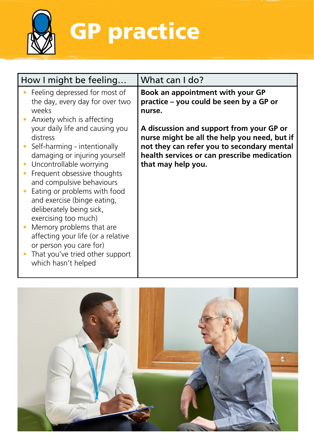

GP practice

| How I might be feeling                                                                                                                                                                                                                                                                                                                                                                                                                                                        | What can I do?                                                                                                                                                                                              |
|-------------------------------------------------------------------------------------------------------------------------------------------------------------------------------------------------------------------------------------------------------------------------------------------------------------------------------------------------------------------------------------------------------------------------------------------------------------------------------|-------------------------------------------------------------------------------------------------------------------------------------------------------------------------------------------------------------|
| Feeling depressed for most of<br>the day, every day for over two<br>weeks<br>Anxiety which is affecting                                                                                                                                                                                                                                                                                                                                                                       | Book an appointment with your GP<br>practice - you could be seen by a GP or<br>nurse.                                                                                                                       |
| your daily life and causing you<br>distress<br>Self-harming - intentionally<br>damaging or injuring yourself<br>Uncontrollable worrying<br>Frequent obsessive thoughts<br>and compulsive behaviours<br>Eating or problems with food<br>and exercise (binge eating,<br>deliberately being sick,<br>exercising too much)<br>Memory problems that are<br>affecting your life (or a relative<br>or person you care for)<br>That you've tried other support<br>which hasn't helped | A discussion and support from your GP or<br>nurse might be all the help you need, but if<br>not they can refer you to secondary mental<br>health services or can prescribe medication<br>that may help you. |

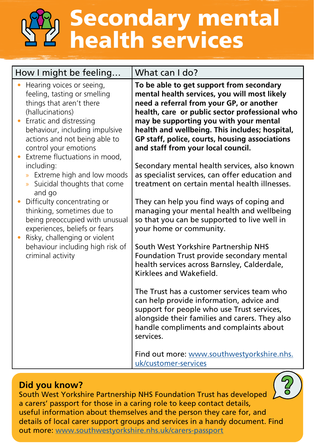## Secondary mental health services

| How I might be feeling                                                                                                                                                                                                                                            | What can I do?                                                                                                                                                                                                                                                                                                                                                             |
|-------------------------------------------------------------------------------------------------------------------------------------------------------------------------------------------------------------------------------------------------------------------|----------------------------------------------------------------------------------------------------------------------------------------------------------------------------------------------------------------------------------------------------------------------------------------------------------------------------------------------------------------------------|
| Hearing voices or seeing,<br>feeling, tasting or smelling<br>things that aren't there<br>(hallucinations)<br>Erratic and distressing<br>behaviour, including impulsive<br>actions and not being able to<br>control your emotions<br>Extreme fluctuations in mood, | To be able to get support from secondary<br>mental health services, you will most likely<br>need a referral from your GP, or another<br>health, care or public sector professional who<br>may be supporting you with your mental<br>health and wellbeing. This includes; hospital,<br>GP staff, police, courts, housing associations<br>and staff from your local council. |
| including:<br>Extreme high and low moods<br>»<br>Suicidal thoughts that come<br>and go                                                                                                                                                                            | Secondary mental health services, also known<br>as specialist services, can offer education and<br>treatment on certain mental health illnesses.                                                                                                                                                                                                                           |
| Difficulty concentrating or<br>thinking, sometimes due to<br>being preoccupied with unusual<br>experiences, beliefs or fears                                                                                                                                      | They can help you find ways of coping and<br>managing your mental health and wellbeing<br>so that you can be supported to live well in<br>your home or community.                                                                                                                                                                                                          |
| Risky, challenging or violent<br>behaviour including high risk of<br>criminal activity                                                                                                                                                                            | South West Yorkshire Partnership NHS<br>Foundation Trust provide secondary mental<br>health services across Barnsley, Calderdale,<br>Kirklees and Wakefield.                                                                                                                                                                                                               |
|                                                                                                                                                                                                                                                                   | The Trust has a customer services team who<br>can help provide information, advice and<br>support for people who use Trust services,<br>alongside their families and carers. They also<br>handle compliments and complaints about<br>services.                                                                                                                             |
|                                                                                                                                                                                                                                                                   | Find out more: www.southwestyorkshire.nhs.<br>uk/customer-services                                                                                                                                                                                                                                                                                                         |

#### **Did you know?**

South West Yorkshire Partnership NHS Foundation Trust has developed a carers' passport for those in a caring role to keep contact details, useful information about themselves and the person they care for, and details of local carer support groups and services in a handy document. Find out more: [www.southwestyorkshire.nhs.uk/carers-passport](https://www.southwestyorkshire.nhs.uk/service-users-and-carers/carers-passport/)

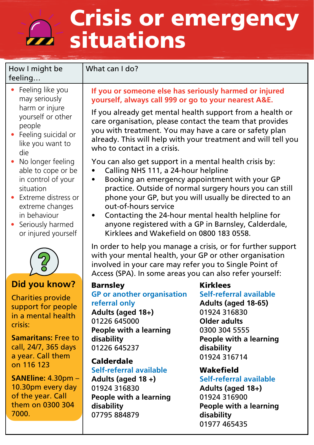## Crisis or emergency **D** situations

#### How I might be feeling…

What can I do?

- Feeling like you may seriously harm or injure yourself or other people
- Feeling suicidal or like you want to die
- No longer feeling able to cope or be in control of your situation
- Extreme distress or extreme changes in behaviour
- Seriously harmed or injured yourself



### **Did you know?**

Charities provide support for people in a mental health crisis:

**Samaritans:** Free to call, 24/7, 365 days a year. Call them on 116 123

**SANEline:** 4.30pm – 10.30pm every day of the year. Call them on 0300 304 7000.

#### **If you or someone else has seriously harmed or injured yourself, always call 999 or go to your nearest A&E.**

If you already get mental health support from a health or care organisation, please contact the team that provides you with treatment. You may have a care or safety plan already. This will help with your treatment and will tell you who to contact in a crisis.

You can also get support in a mental health crisis by:

- Calling NHS 111, a 24-hour helpline
- Booking an emergency appointment with your GP practice. Outside of normal surgery hours you can still phone your GP, but you will usually be directed to an out-of-hours service
- Contacting the 24-hour mental health helpline for anyone registered with a GP in Barnsley, Calderdale, Kirklees and Wakefield on 0800 183 0558.

In order to help you manage a crisis, or for further support with your mental health, your GP or other organisation involved in your care may refer you to Single Point of Access (SPA). In some areas you can also refer yourself:

#### Barnsley

#### **GP or another organisation referral only**

**Adults (aged 18+)** 01226 645000 **People with a learning disability** 01226 645237

#### Calderdale

#### **Self-referral available**

**Adults (aged 18 +)** 01924 316830 **People with a learning disability** 07795 884879

### Kirklees

**Self-referral available Adults (aged 18-65)** 01924 316830 **Older adults** 0300 304 5555 **People with a learning disability** 01924 316714

#### Wakefield

**Self-referral available Adults (aged 18+)** 01924 316900 **People with a learning** 

**disability** 01977 465435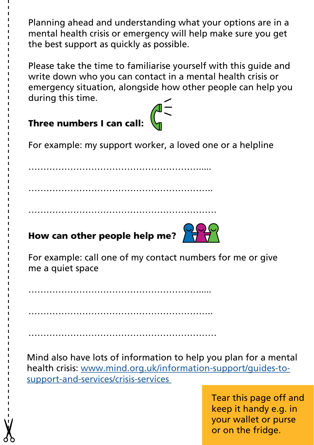Planning ahead and understanding what your options are in a mental health crisis or emergency will help make sure you get the best support as quickly as possible.

Please take the time to familiarise yourself with this guide and write down who you can contact in a mental health crisis or emergency situation, alongside how other people can help you during this time.

### Three numbers I can call: For example: my support worker, a loved one or a helpline …………………………………………………..... …………………………………………………….. ……………………………………………………… How can other people help me?  $\frac{1}{2}$ For example: call one of my contact numbers for me or give me a quiet space

………………………………………………….....

………………………………………………………

……………………………………………………..

Mind also have lots of information to help you plan for a mental health crisis: [www.mind.org.uk/information-support/guides-to](http://www.mind.org.uk/information-support/guides-to-support-and-services/crisis-services )[support-and-services/crisis-services](http://www.mind.org.uk/information-support/guides-to-support-and-services/crisis-services ) 

> Tear this page off and keep it handy e.g. in your wallet or purse or on the fridge.